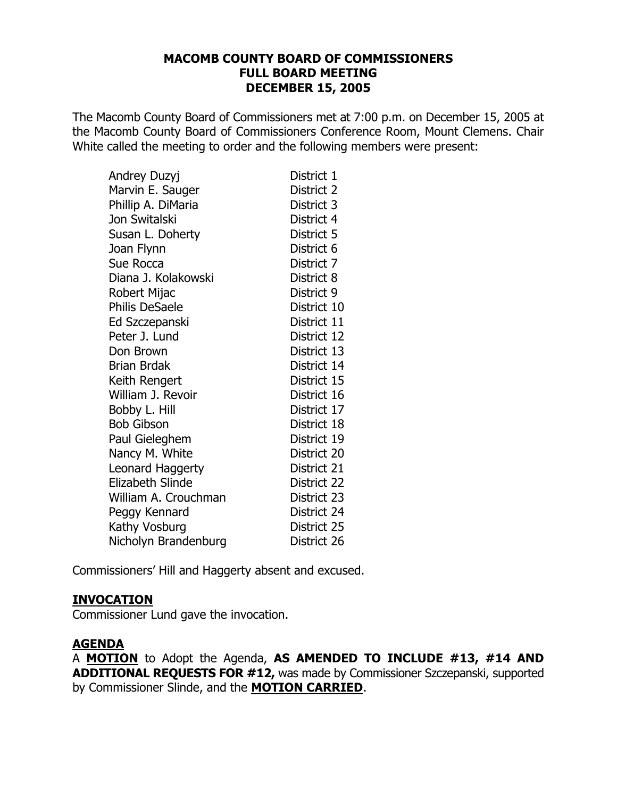#### **MACOMB COUNTY BOARD OF COMMISSIONERS FULL BOARD MEETING DECEMBER 15, 2005**

The Macomb County Board of Commissioners met at 7:00 p.m. on December 15, 2005 at the Macomb County Board of Commissioners Conference Room, Mount Clemens. Chair White called the meeting to order and the following members were present:

| Andrey Duzyj            | District 1  |
|-------------------------|-------------|
| Marvin E. Sauger        | District 2  |
| Phillip A. DiMaria      | District 3  |
| Jon Switalski           | District 4  |
| Susan L. Doherty        | District 5  |
| Joan Flynn              | District 6  |
| Sue Rocca               | District 7  |
| Diana J. Kolakowski     | District 8  |
| Robert Mijac            | District 9  |
| <b>Philis DeSaele</b>   | District 10 |
| Ed Szczepanski          | District 11 |
| Peter J. Lund           | District 12 |
| Don Brown               | District 13 |
| <b>Brian Brdak</b>      | District 14 |
| Keith Rengert           | District 15 |
| William J. Revoir       | District 16 |
| Bobby L. Hill           | District 17 |
| <b>Bob Gibson</b>       | District 18 |
| Paul Gieleghem          | District 19 |
| Nancy M. White          | District 20 |
| Leonard Haggerty        | District 21 |
| <b>Elizabeth Slinde</b> | District 22 |
| William A. Crouchman    | District 23 |
| Peggy Kennard           | District 24 |
| Kathy Vosburg           | District 25 |
| Nicholyn Brandenburg    | District 26 |

Commissioners' Hill and Haggerty absent and excused.

## **INVOCATION**

Commissioner Lund gave the invocation.

## **AGENDA**

A MOTION to Adopt the Agenda, AS AMENDED TO INCLUDE #13, #14 AND **ADDITIONAL REQUESTS FOR #12, was made by Commissioner Szczepanski, supported** by Commissioner Slinde, and the MOTION CARRIED.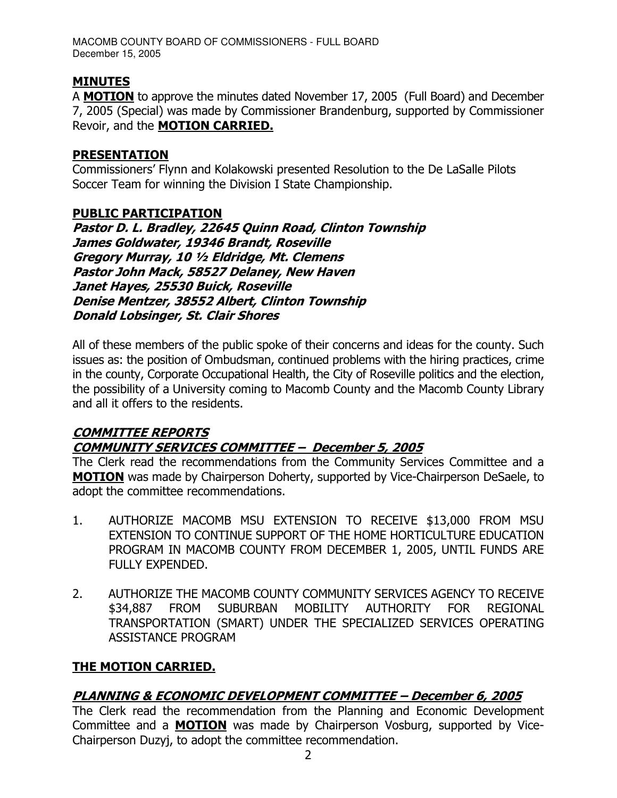# **MINUTES**

A MOTION to approve the minutes dated November 17, 2005 (Full Board) and December 7, 2005 (Special) was made by Commissioner Brandenburg, supported by Commissioner Revoir, and the **MOTION CARRIED.** 

#### **PRESENTATION**

Commissioners' Flynn and Kolakowski presented Resolution to the De LaSalle Pilots Soccer Team for winning the Division I State Championship.

## **PUBLIC PARTICIPATION**

Pastor D. L. Bradley, 22645 Quinn Road, Clinton Township James Goldwater, 19346 Brandt, Roseville Gregory Murray, 10 1/2 Eldridge, Mt. Clemens Pastor John Mack, 58527 Delaney, New Haven Janet Hayes, 25530 Buick, Roseville Denise Mentzer, 38552 Albert, Clinton Township **Donald Lobsinger, St. Clair Shores** 

All of these members of the public spoke of their concerns and ideas for the county. Such issues as: the position of Ombudsman, continued problems with the hiring practices, crime in the county, Corporate Occupational Health, the City of Roseville politics and the election, the possibility of a University coming to Macomb County and the Macomb County Library and all it offers to the residents.

## **COMMITTEE REPORTS COMMUNITY SERVICES COMMITTEE - December 5, 2005**

The Clerk read the recommendations from the Community Services Committee and a MOTION was made by Chairperson Doherty, supported by Vice-Chairperson DeSaele, to adopt the committee recommendations.

- 1. AUTHORIZE MACOMB MSU EXTENSION TO RECEIVE \$13,000 FROM MSU EXTENSION TO CONTINUE SUPPORT OF THE HOME HORTICULTURE EDUCATION PROGRAM IN MACOMB COUNTY FROM DECEMBER 1, 2005, UNTIL FUNDS ARE FULLY EXPENDED.
- $2<sub>1</sub>$ AUTHORIZE THE MACOMB COUNTY COMMUNITY SERVICES AGENCY TO RECEIVE \$34,887 FROM SUBURBAN MOBILITY AUTHORITY **FOR** REGIONAL TRANSPORTATION (SMART) UNDER THE SPECIALIZED SERVICES OPERATING **ASSISTANCE PROGRAM**

## THE MOTION CARRIED.

## PLANNING & ECONOMIC DEVELOPMENT COMMITTEE - December 6, 2005

The Clerk read the recommendation from the Planning and Economic Development Committee and a **MOTION** was made by Chairperson Vosburg, supported by Vice-Chairperson Duzyj, to adopt the committee recommendation.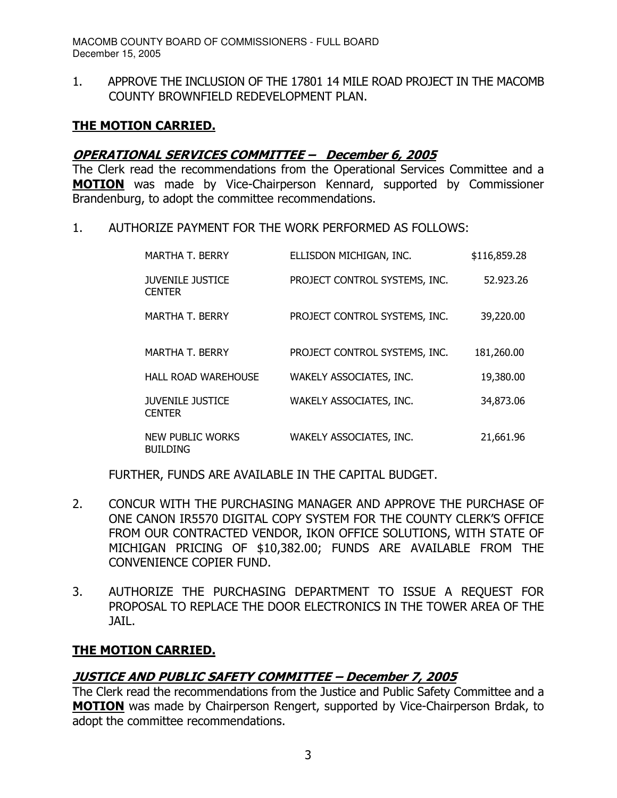1. APPROVE THE INCLUSION OF THE 17801 14 MILE ROAD PROJECT IN THE MACOMB COUNTY BROWNFIELD REDEVELOPMENT PLAN.

## <u>THE MOTION CARRIED.</u>

## <u> OPERATIONAL SERVICES COMMITTEE - December 6, 2005</u>

The Clerk read the recommendations from the Operational Services Committee and a **MOTION** was made by Vice-Chairperson Kennard, supported by Commissioner Brandenburg, to adopt the committee recommendations.

1. AUTHORIZE PAYMENT FOR THE WORK PERFORMED AS FOLLOWS:

| <b>MARTHA T. BERRY</b>                   | ELLISDON MICHIGAN, INC.       | \$116,859.28 |
|------------------------------------------|-------------------------------|--------------|
| <b>JUVENILE JUSTICE</b><br><b>CENTER</b> | PROJECT CONTROL SYSTEMS, INC. | 52.923.26    |
| <b>MARTHA T. BERRY</b>                   | PROJECT CONTROL SYSTEMS, INC. | 39,220.00    |
| <b>MARTHA T. BERRY</b>                   | PROJECT CONTROL SYSTEMS, INC. | 181,260.00   |
| <b>HALL ROAD WAREHOUSE</b>               | WAKELY ASSOCIATES, INC.       | 19,380.00    |
| <b>JUVENILE JUSTICE</b><br><b>CENTER</b> | WAKELY ASSOCIATES, INC.       | 34,873.06    |
| NEW PUBLIC WORKS<br><b>BUILDING</b>      | WAKELY ASSOCIATES, INC.       | 21,661.96    |

FURTHER, FUNDS ARE AVAILABLE IN THE CAPITAL BUDGET.

- 2. CONCUR WITH THE PURCHASING MANAGER AND APPROVE THE PURCHASE OF ONE CANON IR5570 DIGITAL COPY SYSTEM FOR THE COUNTY CLERK'S OFFICE FROM OUR CONTRACTED VENDOR, IKON OFFICE SOLUTIONS, WITH STATE OF MICHIGAN PRICING OF \$10,382.00; FUNDS ARE AVAILABLE FROM THE CONVENIENCE COPIER FUND.
- 3. AUTHORIZE THE PURCHASING DEPARTMENT TO ISSUE A REQUEST FOR PROPOSAL TO REPLACE THE DOOR ELECTRONICS IN THE TOWER AREA OF THE JAIL.

## <u>THE MOTION CARRIED.</u>

## <u> JUSTICE AND PUBLIC SAFETY COMMITTEE – December 7, 2005</u>

The Clerk read the recommendations from the Justice and Public Safety Committee and a MOTION was made by Chairperson Rengert, supported by Vice-Chairperson Brdak, to adopt the committee recommendations.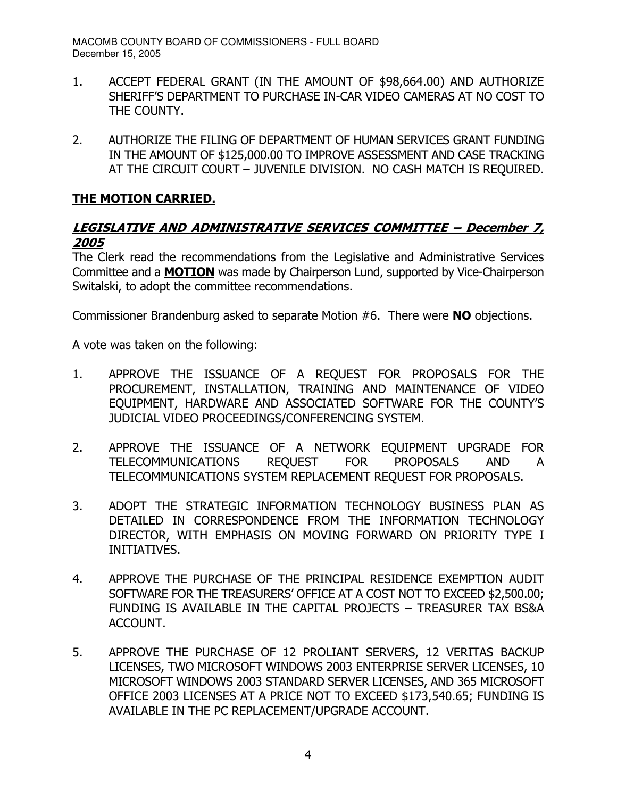- 1. ACCEPT FEDERAL GRANT (IN THE AMOUNT OF \$98,664.00) AND AUTHORIZE SHERIFF'S DEPARTMENT TO PURCHASE IN-CAR VIDEO CAMERAS AT NO COST TO THE COUNTY.
- 2. AUTHORIZE THE FILING OF DEPARTMENT OF HUMAN SERVICES GRANT FUNDING IN THE AMOUNT OF \$125,000.00 TO IMPROVE ASSESSMENT AND CASE TRACKING AT THE CIRCUIT COURT - JUVENILE DIVISION. NO CASH MATCH IS REQUIRED.

## <u>THE MOTION CARRIED.</u>

## <u>LEGISLATIVE AND ADMINISTRATIVE SERVICES COMMITTEE – December 7,</u> 2005

The Clerk read the recommendations from the Legislative and Administrative Services Committee and a MOTION was made by Chairperson Lund, supported by Vice-Chairperson Switalski, to adopt the committee recommendations.

Commissioner Brandenburg asked to separate Motion  $#6$ . There were **NO** objections.

A vote was taken on the following:

- 1. APPROVE THE ISSUANCE OF A REOUEST FOR PROPOSALS FOR THE PROCUREMENT, INSTALLATION, TRAINING AND MAINTENANCE OF VIDEO EQUIPMENT, HARDWARE AND ASSOCIATED SOFTWARE FOR THE COUNTY'S JUDICIAL VIDEO PROCEEDINGS/CONFERENCING SYSTEM.
- 2. APPROVE THE ISSUANCE OF A NETWORK EQUIPMENT UPGRADE FOR TELECOMMUNICATIONS REOUEST FOR PROPOSALS AND A TELECOMMUNICATIONS SYSTEM REPLACEMENT REQUEST FOR PROPOSALS.
- 3. ADOPT THE STRATEGIC INFORMATION TECHNOLOGY BUSINESS PLAN AS DETAILED IN CORRESPONDENCE FROM THE INFORMATION TECHNOLOGY DIRECTOR, WITH EMPHASIS ON MOVING FORWARD ON PRIORITY TYPE I INITIATIVES.
- 4. APPROVE THE PURCHASE OF THE PRINCIPAL RESIDENCE EXEMPTION AUDIT SOFTWARE FOR THE TREASURERS' OFFICE AT A COST NOT TO EXCEED \$2,500.00; FUNDING IS AVAILABLE IN THE CAPITAL PROJECTS - TREASURER TAX BS&A ACCOUNT.
- 5. APPROVE THE PURCHASE OF 12 PROLIANT SERVERS, 12 VERITAS BACKUP LICENSES, TWO MICROSOFT WINDOWS 2003 ENTERPRISE SERVER LICENSES, 10 MICROSOFT WINDOWS 2003 STANDARD SERVER LICENSES, AND 365 MICROSOFT OFFICE 2003 LICENSES AT A PRICE NOT TO EXCEED \$173,540.65; FUNDING IS AVAILABLE IN THE PC REPLACEMENT/UPGRADE ACCOUNT.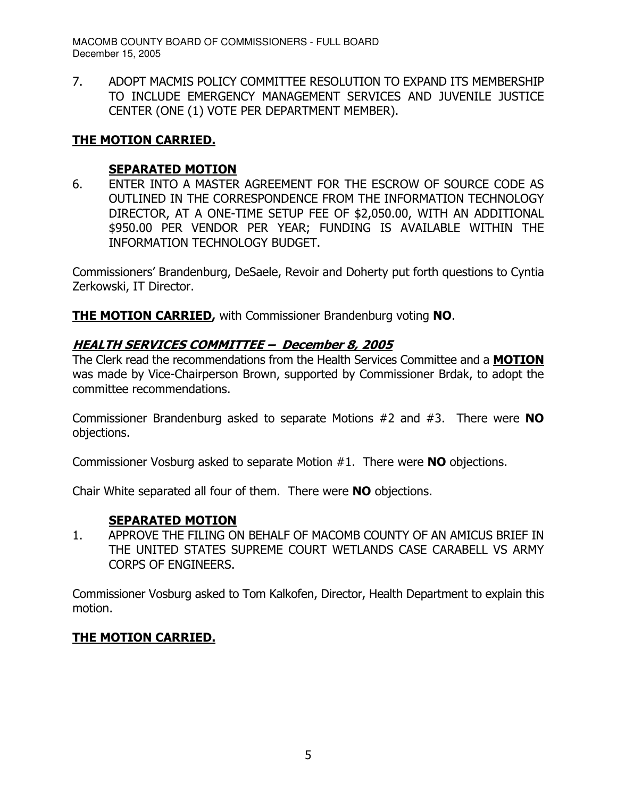7. ADOPT MACMIS POLICY COMMITTEE RESOLUTION TO EXPAND ITS MEMBERSHIP TO INCLUDE EMERGENCY MANAGEMENT SERVICES AND JUVENILE JUSTICE CENTER (ONE (1) VOTE PER DEPARTMENT MEMBER).

## <u>THE MOTION CARRIED.</u>

## <u>SEPARATED MOTION</u>

6. ENTER INTO A MASTER AGREEMENT FOR THE ESCROW OF SOURCE CODE AS OUTLINED IN THE CORRESPONDENCE FROM THE INFORMATION TECHNOLOGY DIRECTOR, AT A ONE-TIME SETUP FEE OF \$2,050.00, WITH AN ADDITIONAL \$950.00 PER VENDOR PER YEAR; FUNDING IS AVAILABLE WITHIN THE INFORMATION TECHNOLOGY BUDGET.

Commissioners' Brandenburg, DeSaele, Revoir and Doherty put forth questions to Cyntia Zerkowski, IT Director.

THE MOTION CARRIED, with Commissioner Brandenburg voting NO.

## <u> HEALTH SERVICES COMMITTEE – December 8, 2005</u>

The Clerk read the recommendations from the Health Services Committee and a **MOTION** was made by Vice-Chairperson Brown, supported by Commissioner Brdak, to adopt the committee recommendations.

Commissioner Brandenburg asked to separate Motions  $#2$  and  $#3$ . There were  $NO$ objections.

Commissioner Vosburg asked to separate Motion  $#1$ . There were **NO** objections.

Chair White separated all four of them. There were NO objections.

## <u>SEPARATED MOTION</u>

1. APPROVE THE FILING ON BEHALF OF MACOMB COUNTY OF AN AMICUS BRIEF IN THE UNITED STATES SUPREME COURT WETLANDS CASE CARABELL VS ARMY CORPS OF ENGINEERS.

Commissioner Vosburg asked to Tom Kalkofen, Director, Health Department to explain this motion.

## <u>THE MOTION CARRIED.</u>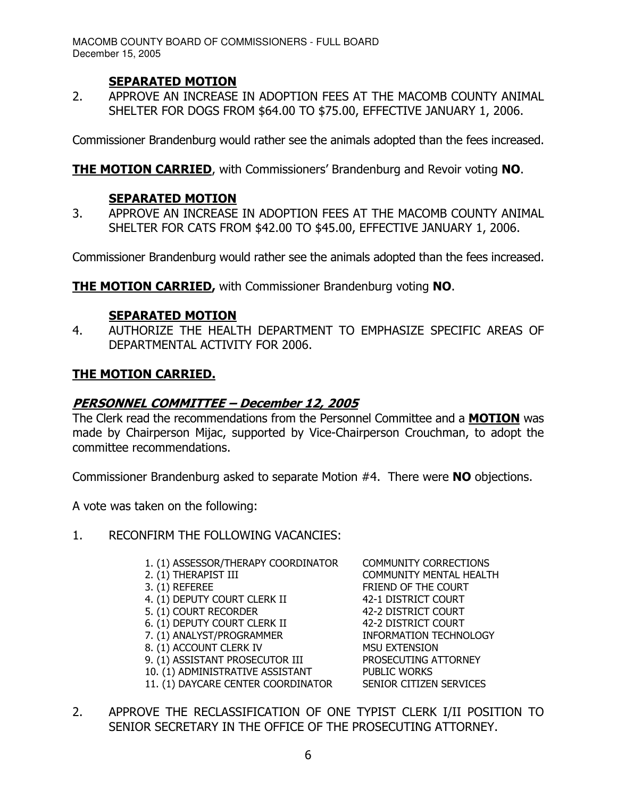## <u>SEPARATED MOTION</u>

2. APPROVE AN INCREASE IN ADOPTION FEES AT THE MACOMB COUNTY ANIMAL SHELTER FOR DOGS FROM \$64.00 TO \$75.00, EFFECTIVE JANUARY 1, 2006.

Commissioner Brandenburg would rather see the animals adopted than the fees increased.

THE MOTION CARRIED, with Commissioners' Brandenburg and Revoir voting NO.

## <u>SEPARATED MOTION</u>

3. APPROVE AN INCREASE IN ADOPTION FEES AT THE MACOMB COUNTY ANIMAL SHELTER FOR CATS FROM \$42.00 TO \$45.00, EFFECTIVE JANUARY 1, 2006.

Commissioner Brandenburg would rather see the animals adopted than the fees increased.

THE MOTION CARRIED, with Commissioner Brandenburg voting NO.

## <u>SEPARATED MOTION</u>

4. AUTHORIZE THE HEALTH DEPARTMENT TO EMPHASIZE SPECIFIC AREAS OF DEPARTMENTAL ACTIVITY FOR 2006.

## <u>THE MOTION CARRIED.</u>

## <u> PERSONNEL COMMITTEE – December 12, 2005</u>

The Clerk read the recommendations from the Personnel Committee and a MOTION was made by Chairperson Mijac, supported by Vice-Chairperson Crouchman, to adopt the committee recommendations.

Commissioner Brandenburg asked to separate Motion  $#4$ . There were  $NO$  objections.

A vote was taken on the following:

- 1. RECONFIRM THE FOLLOWING VACANCIES:
	- 1. (1) ASSESSOR/THERAPY COORDINATOR COMMUNITY CORRECTIONS
	-
	-
	- 4. (1) DEPUTY COURT CLERK II 42-1 DISTRICT COURT
	- 5. (1) COURT RECORDER 42-2 DISTRICT COURT
	- 6. (1) DEPUTY COURT CLERK II 42-2 DISTRICT COURT
	- 7. (1) ANALYST/PROGRAMMER INFORMATION TECHNOLOGY
	- 8. (1) ACCOUNT CLERK IV MSU EXTENSION
	- 9. (1) ASSISTANT PROSECUTOR III PROSECUTING ATTORNEY
	- 10. (1) ADMINISTRATIVE ASSISTANT PUBLIC WORKS
	- 11. (1) DAYCARE CENTER COORDINATOR SENIOR CITIZEN SERVICES

2. (1) THERAPIST III COMMUNITY MENTAL HEALTH 3. (1) REFEREE FRIEND OF THE COURT

2. APPROVE THE RECLASSIFICATION OF ONE TYPIST CLERK I/II POSITION TO SENIOR SECRETARY IN THE OFFICE OF THE PROSECUTING ATTORNEY.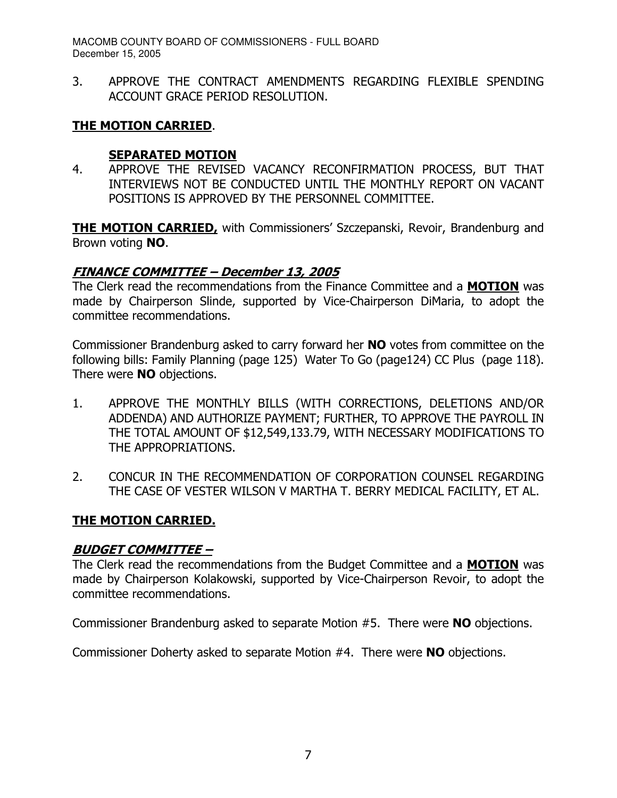3. APPROVE THE CONTRACT AMENDMENTS REGARDING FLEXIBLE SPENDING ACCOUNT GRACE PERIOD RESOLUTION.

## <u>THE MOTION CARRIED</u>.

## <u>SEPARATED MOTION</u>

4. APPROVE THE REVISED VACANCY RECONFIRMATION PROCESS, BUT THAT INTERVIEWS NOT BE CONDUCTED UNTIL THE MONTHLY REPORT ON VACANT POSITIONS IS APPROVED BY THE PERSONNEL COMMITTEE.

THE MOTION CARRIED, with Commissioners' Szczepanski, Revoir, Brandenburg and Brown voting **NO**.

## <u> FINANCE COMMITTEE – December 13, 2005</u>

The Clerk read the recommendations from the Finance Committee and a MOTION was made by Chairperson Slinde, supported by Vice-Chairperson DiMaria, to adopt the committee recommendations.

Commissioner Brandenburg asked to carry forward her **NO** votes from committee on the following bills: Family Planning (page 125) Water To Go (page124) CC Plus (page 118). There were **NO** objections.

- 1. APPROVE THE MONTHLY BILLS (WITH CORRECTIONS, DELETIONS AND/OR ADDENDA) AND AUTHORIZE PAYMENT; FURTHER, TO APPROVE THE PAYROLL IN THE TOTAL AMOUNT OF \$12,549,133.79, WITH NECESSARY MODIFICATIONS TO THE APPROPRIATIONS.
- 2. CONCUR IN THE RECOMMENDATION OF CORPORATION COUNSEL REGARDING THE CASE OF VESTER WILSON V MARTHA T. BERRY MEDICAL FACILITY, ET AL.

## <u>THE MOTION CARRIED.</u>

## **BUDGET COMMITTEE -**

The Clerk read the recommendations from the Budget Committee and a MOTION was made by Chairperson Kolakowski, supported by Vice-Chairperson Revoir, to adopt the committee recommendations.

Commissioner Brandenburg asked to separate Motion  $#5$ . There were **NO** objections.

Commissioner Doherty asked to separate Motion  $#4$ . There were  $NO$  objections.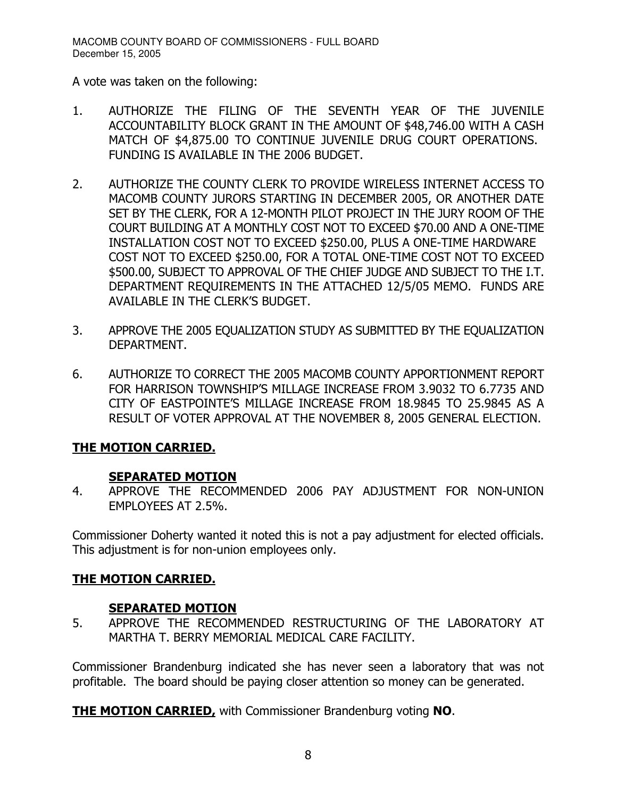A vote was taken on the following:

- 1. AUTHORIZE THE FILING OF THE SEVENTH YEAR OF THE JUVENILE ACCOUNTABILITY BLOCK GRANT IN THE AMOUNT OF \$48,746.00 WITH A CASH MATCH OF \$4,875,00 TO CONTINUE JUVENILE DRUG COURT OPERATIONS. FUNDING IS AVAILABLE IN THE 2006 BUDGET.
- 2. AUTHORIZE THE COUNTY CLERK TO PROVIDE WIRELESS INTERNET ACCESS TO MACOMB COUNTY JURORS STARTING IN DECEMBER 2005, OR ANOTHER DATE SET BY THE CLERK, FOR A 12-MONTH PILOT PROJECT IN THE JURY ROOM OF THE COURT BUILDING AT A MONTHLY COST NOT TO EXCEED \$70.00 AND A ONE-TIME INSTALLATION COST NOT TO EXCEED \$250.00, PLUS A ONE-TIME HARDWARE COST NOT TO EXCEED \$250.00, FOR A TOTAL ONE-TIME COST NOT TO EXCEED \$500.00, SUBJECT TO APPROVAL OF THE CHIEF JUDGE AND SUBJECT TO THE I.T. DEPARTMENT REQUIREMENTS IN THE ATTACHED 12/5/05 MEMO. FUNDS ARE AVAILABLE IN THE CLERK'S BUDGET.
- 3. APPROVE THE 2005 EQUALIZATION STUDY AS SUBMITTED BY THE EQUALIZATION DEPARTMENT.
- 6. AUTHORIZE TO CORRECT THE 2005 MACOMB COUNTY APPORTIONMENT REPORT FOR HARRISON TOWNSHIP'S MILLAGE INCREASE FROM 3.9032 TO 6.7735 AND CITY OF EASTPOINTE'S MILLAGE INCREASE FROM 18.9845 TO 25.9845 AS A RESULT OF VOTER APPROVAL AT THE NOVEMBER 8, 2005 GENERAL ELECTION.

## <u>THE MOTION CARRIED.</u>

## <u>SEPARATED MOTION</u>

4. APPROVE THE RECOMMENDED 2006 PAY ADJUSTMENT FOR NON-UNION EMPLOYEES AT 2.5%.

Commissioner Doherty wanted it noted this is not a pay adjustment for elected officials. This adjustment is for non-union employees only.

## <u>THE MOTION CARRIED.</u>

## <u>SEPARATED MOTION</u>

5. APPROVE THE RECOMMENDED RESTRUCTURING OF THE LABORATORY AT MARTHA T. BERRY MEMORIAL MEDICAL CARE FACILITY.

Commissioner Brandenburg indicated she has never seen a laboratory that was not profitable. The board should be paying closer attention so money can be generated.

THE MOTION CARRIED, with Commissioner Brandenburg voting NO.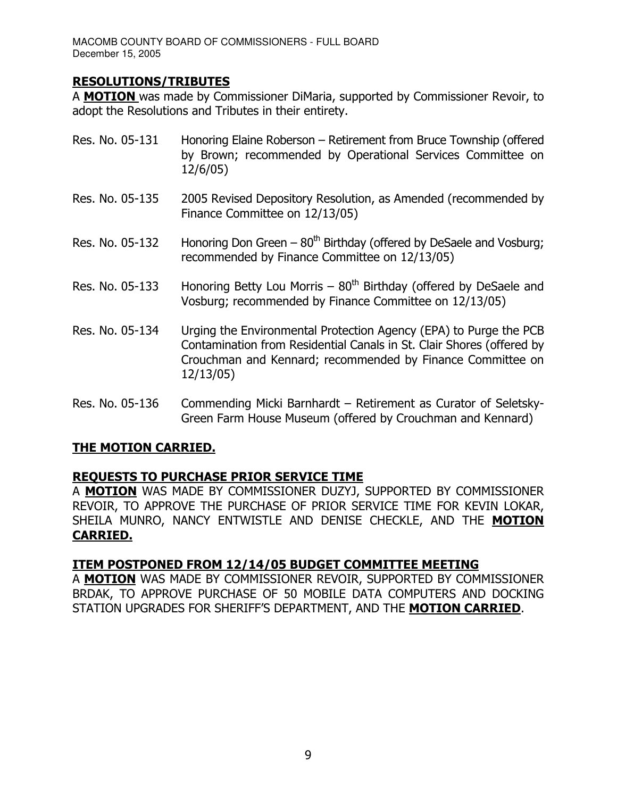## **RESOLUTIONS/TRIBUTES**

A MOTION was made by Commissioner DiMaria, supported by Commissioner Revoir, to adopt the Resolutions and Tributes in their entirety.

- Res. No. 05-131 Honoring Elaine Roberson Retirement from Bruce Township (offered by Brown; recommended by Operational Services Committee on  $12/6/05)$
- Res. No. 05-135 2005 Revised Depository Resolution, as Amended (recommended by Finance Committee on 12/13/05)
- Res. No. 05-132 Honoring Don Green  $-80<sup>th</sup>$  Birthday (offered by DeSaele and Vosburg; recommended by Finance Committee on 12/13/05)
- Res. No. 05-133 Honoring Betty Lou Morris 80<sup>th</sup> Birthday (offered by DeSaele and Vosburg; recommended by Finance Committee on 12/13/05)
- Res. No. 05-134 e Environmental Protection Agency (EPA) to Purge the PCB Contamination from Residential Canals in St. Clair Shores (offered by Crouchman and Kennard; recommended by Finance Committee on  $12/13/05)$
- 8 A,2 

#. H  \*!.A Green Farm House Museum (offered by Crouchman and Kennard)

## <u>THE MOTION CARRIED.</u>

## <u>REQUESTS TO PURCHASE PRIOR SERVICE TIME</u>

A MOTION WAS MADE BY COMMISSIONER DUZYJ, SUPPORTED BY COMMISSIONER REVOIR, TO APPROVE THE PURCHASE OF PRIOR SERVICE TIME FOR KEVIN LOKAR, SHEILA MUNRO, NANCY ENTWISTLE AND DENISE CHECKLE, AND THE **MOTION** <u>CARRIED.</u>

## **ITEM POSTPONED FROM 12/14/05 BUDGET COMMITTEE MEETING**

A MOTION WAS MADE BY COMMISSIONER REVOIR, SUPPORTED BY COMMISSIONER BRDAK, TO APPROVE PURCHASE OF 50 MOBILE DATA COMPUTERS AND DOCKING STATION UPGRADES FOR SHERIFF'S DEPARTMENT, AND THE **MOTION CARRIED**.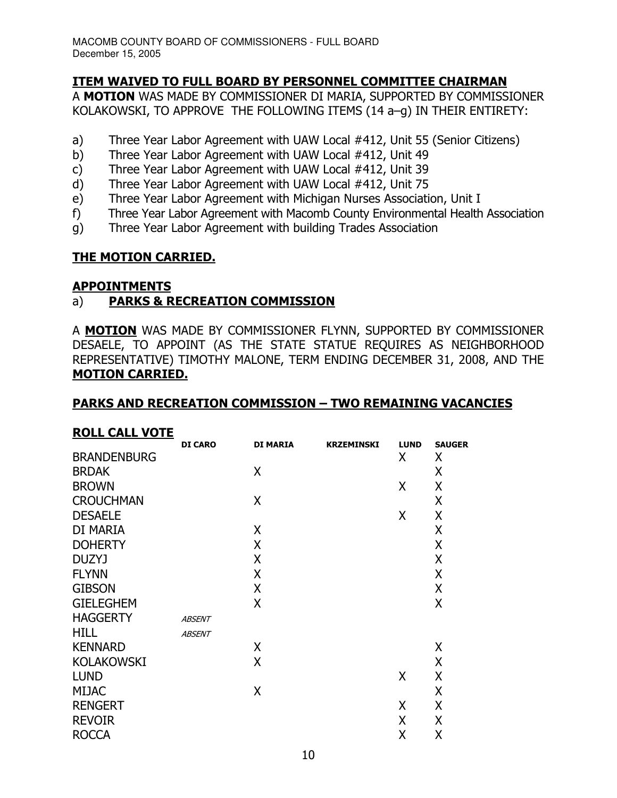## **ITEM WAIVED TO FULL BOARD BY PERSONNEL COMMITTEE CHAIRMAN**

A MOTION WAS MADE BY COMMISSIONER DI MARIA, SUPPORTED BY COMMISSIONER KOLAKOWSKI, TO APPROVE THE FOLLOWING ITEMS (14 a-q) IN THEIR ENTIRETY:

- a) Three Year Labor Agreement with UAW Local #412, Unit 55 (Senior Citizens)
- b) Three Year Labor Agreement with UAW Local #412, Unit 49
- Three Year Labor Agreement with UAW Local #412, Unit 39  $\mathsf{C}$
- Three Year Labor Agreement with UAW Local #412, Unit 75  $\mathsf{d}$
- e) Three Year Labor Agreement with Michigan Nurses Association, Unit I
- Three Year Labor Agreement with Macomb County Environmental Health Association f)
- $q)$ Three Year Labor Agreement with building Trades Association

## **THE MOTION CARRIED.**

#### **APPOINTMENTS**

#### **PARKS & RECREATION COMMISSION** a)

A MOTION WAS MADE BY COMMISSIONER FLYNN, SUPPORTED BY COMMISSIONER DESAELE, TO APPOINT (AS THE STATE STATUE REQUIRES AS NEIGHBORHOOD REPRESENTATIVE) TIMOTHY MALONE, TERM ENDING DECEMBER 31, 2008, AND THE **MOTION CARRIED.** 

#### **PARKS AND RECREATION COMMISSION - TWO REMAINING VACANCIES**

#### **ROLL CALL VOTE**

|                    | <b>DI CARO</b> | <b>DI MARIA</b> | <b>KRZEMINSKI</b> | <b>LUND</b> | <b>SAUGER</b> |
|--------------------|----------------|-----------------|-------------------|-------------|---------------|
| <b>BRANDENBURG</b> |                |                 |                   | X           | X             |
| <b>BRDAK</b>       |                | X               |                   |             | X             |
| <b>BROWN</b>       |                |                 |                   | X           | X             |
| <b>CROUCHMAN</b>   |                | X               |                   |             | X             |
| <b>DESAELE</b>     |                |                 |                   | X           | X             |
| DI MARIA           |                | X               |                   |             | X             |
| <b>DOHERTY</b>     |                | X               |                   |             | X             |
| <b>DUZYJ</b>       |                | X               |                   |             | X             |
| <b>FLYNN</b>       |                | X               |                   |             | X             |
| <b>GIBSON</b>      |                | X               |                   |             | X             |
| <b>GIELEGHEM</b>   |                | X               |                   |             | X             |
| <b>HAGGERTY</b>    | <b>ABSENT</b>  |                 |                   |             |               |
| <b>HILL</b>        | <b>ABSENT</b>  |                 |                   |             |               |
| <b>KENNARD</b>     |                | X               |                   |             | X             |
| <b>KOLAKOWSKI</b>  |                | Χ               |                   |             | X             |
| <b>LUND</b>        |                |                 |                   | X           | X             |
| <b>MIJAC</b>       |                | X               |                   |             | X             |
| <b>RENGERT</b>     |                |                 |                   | X           | X             |
| <b>REVOIR</b>      |                |                 |                   | Χ           | X             |
| <b>ROCCA</b>       |                |                 |                   | Χ           | X             |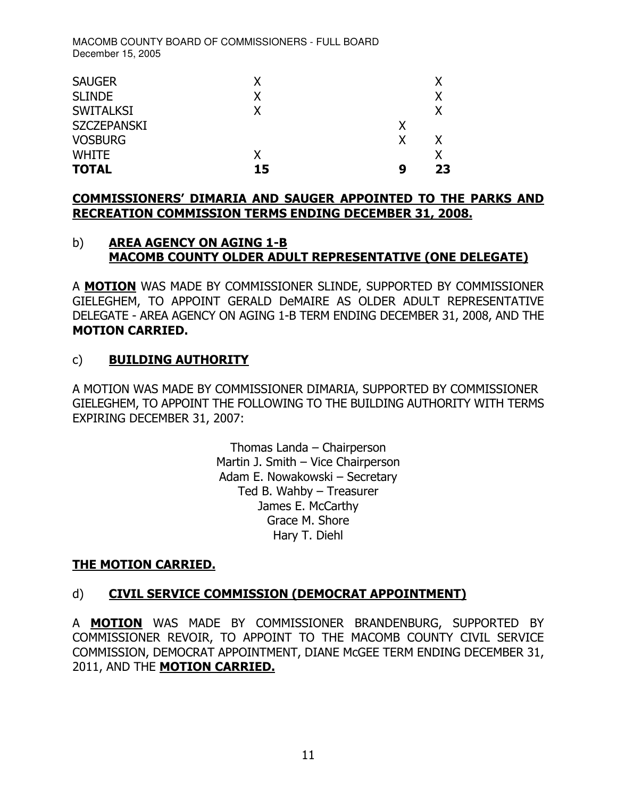| <b>SAUGER</b>      | x  |   |    |
|--------------------|----|---|----|
| <b>SLINDE</b>      | x  |   | x  |
| <b>SWITALKSI</b>   | x  |   | x  |
| <b>SZCZEPANSKI</b> |    | Χ |    |
| <b>VOSBURG</b>     |    | χ | x  |
| <b>WHITE</b>       | x  |   |    |
| <b>TOTAL</b>       | 15 | q | 23 |

#### <u>COMMISSIONERS' DIMARIA AND SAUGER APPOINTED TO THE PARKS AND</u> <u>RECREATION COMMISSION TERMS ENDING DECEMBER 31, 2008.</u>

#### b) <u>A</u> <u>REA AGENCY ON AGING 1-B</u> <u>MACOMB COUNTY OLDER ADULT REPRESENTATIVE (ONE DELEGATE)</u>

A **MOTION** WAS MADE BY COMMISSIONER SLINDE, SUPPORTED BY COMMISSIONER GIELEGHEM, TO APPOINT GERALD DeMAIRE AS OLDER ADULT REPRESENTATIVE DELEGATE - AREA AGENCY ON AGING 1-B TERM ENDING DECEMBER 31, 2008, AND THE **MOTION CARRIED.** 

## = - 9

A MOTION WAS MADE BY COMMISSIONER DIMARIA, SUPPORTED BY COMMISSIONER GIELEGHEM, TO APPOINT THE FOLLOWING TO THE BUILDING AUTHORITY WITH TERMS EXPIRING DECEMBER 31, 2007:

> Thomas Landa - Chairperson Martin J. Smith – Vice Chairperson Adam E. Nowakowski - Secretary Ted B. Wahby – Treasurer James E. McCarthy Grace M. Shore Hary T. Diehl

## <u>THE MOTION CARRIED.</u>

## d) CIVIL SERVICE COMMISSION (DEMOCRAT APPOINTMENT)

A **MOTION** WAS MADE BY COMMISSIONER BRANDENBURG, SUPPORTED BY COMMISSIONER REVOIR, TO APPOINT TO THE MACOMB COUNTY CIVIL SERVICE COMMISSION, DEMOCRAT APPOINTMENT, DIANE MCGEE TERM ENDING DECEMBER 31, 2011, AND THE <mark>MOTION CARRIED.</mark>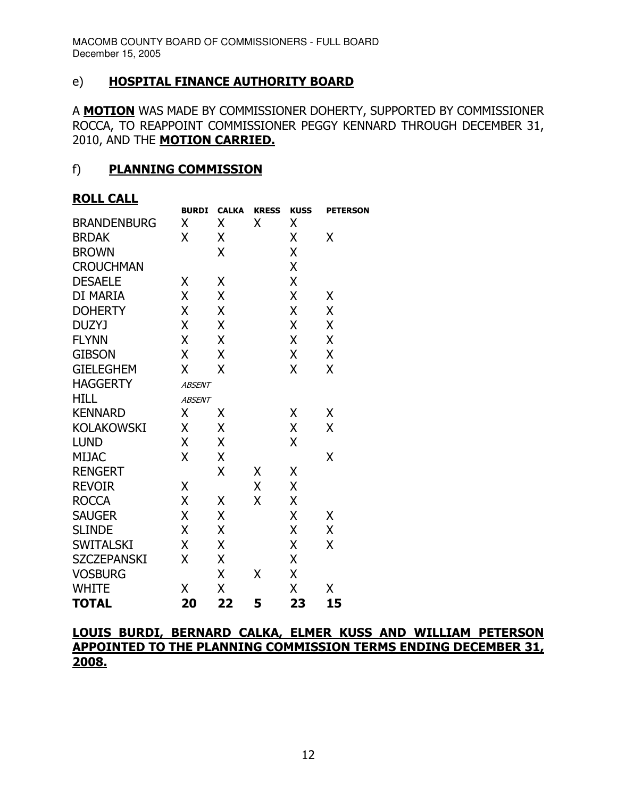## = 9 -- - 9 -

A MOTION WAS MADE BY COMMISSIONER DOHERTY, SUPPORTED BY COMMISSIONER ROCCA, TO REAPPOINT COMMISSIONER PEGGY KENNARD THROUGH DECEMBER 31, 2010, AND THE <mark>MOTION CARRIED.</mark>

#### f) PLANNING COMMISSION

## <u>ROLL CALL</u>

|                    | <b>BURDI</b>  | <b>CALKA</b> | <b>KRESS</b> | <b>KUSS</b> | <b>PETERSON</b> |
|--------------------|---------------|--------------|--------------|-------------|-----------------|
| <b>BRANDENBURG</b> | χ             | Χ            | χ            | Χ           |                 |
| <b>BRDAK</b>       | X             | Χ            |              | Χ           | Χ               |
| <b>BROWN</b>       |               | X            |              | X           |                 |
| <b>CROUCHMAN</b>   |               |              |              | X           |                 |
| <b>DESAELE</b>     | Χ             | Χ            |              | X           |                 |
| DI MARIA           | χ             | Χ            |              | X           | Χ               |
| <b>DOHERTY</b>     | χ             | X            |              | X           | X               |
| <b>DUZYJ</b>       | X             | X            |              | X           | X               |
| <b>FLYNN</b>       | Χ             | X            |              | X           | Χ               |
| <b>GIBSON</b>      | Χ             | Χ            |              | X           | Χ               |
| <b>GIELEGHEM</b>   | X             | X            |              | X           | Χ               |
| <b>HAGGERTY</b>    | <b>ABSENT</b> |              |              |             |                 |
| <b>HILL</b>        | <b>ABSENT</b> |              |              |             |                 |
| <b>KENNARD</b>     | Χ             | χ            |              | Χ           | Χ               |
| <b>KOLAKOWSKI</b>  | X             | X            |              | X           | Χ               |
| <b>LUND</b>        | χ             | X            |              | X           |                 |
| <b>MIJAC</b>       | Χ             | Χ            |              |             | X               |
| <b>RENGERT</b>     |               | X            | Χ            | Χ           |                 |
| <b>REVOIR</b>      | X             |              | Χ            | X           |                 |
| <b>ROCCA</b>       | χ             | χ            | X            | X           |                 |
| <b>SAUGER</b>      | Χ             | Χ            |              | Χ           | Χ               |
| <b>SLINDE</b>      | Χ             | X            |              | X           | Χ               |
| <b>SWITALSKI</b>   | Χ             | X            |              | X           | X               |
| <b>SZCZEPANSKI</b> | Χ             | Χ            |              | Χ           |                 |
| <b>VOSBURG</b>     |               | X            | Χ            | X           |                 |
| <b>WHITE</b>       | X             | X            |              | X           | Χ               |
| <b>TOTAL</b>       | 20            | 22           | 5            | 23          | 15              |

## <u>LOUIS BURDI, BERNARD CALKA, ELMER KUSS AND WILLIAM PETERSON</u> <u>APPOINTED TO THE PLANNING COMMISSION TERMS ENDING DECEMBER 31,</u> 2008.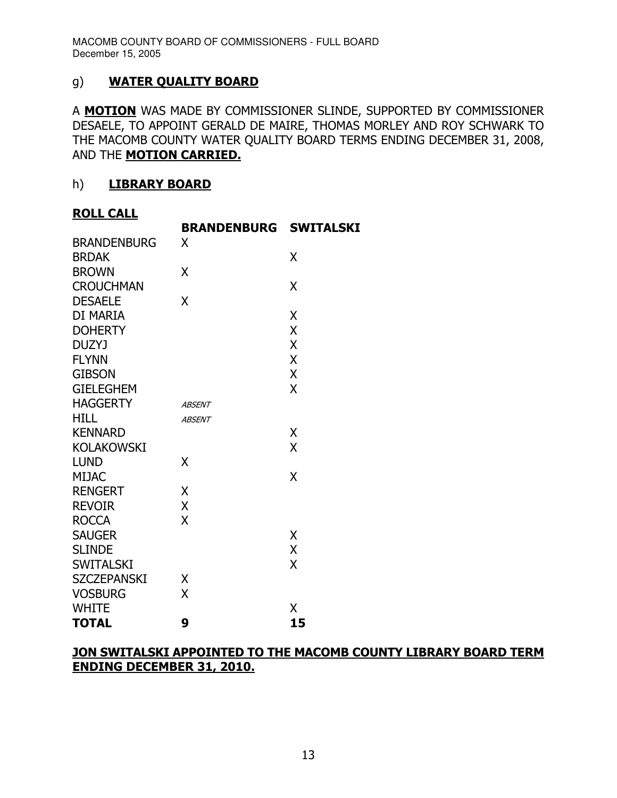## #= ?- - -

A **MOTION** WAS MADE BY COMMISSIONER SLINDE, SUPPORTED BY COMMISSIONER DESAELE, TO APPOINT GERALD DE MAIRE, THOMAS MORLEY AND ROY SCHWARK TO THE MACOMB COUNTY WATER QUALITY BOARD TERMS ENDING DECEMBER 31, 2008, AND THE <mark>MOTION CARRIED.</mark>

#### $h)$ <u>LIBRARY BOARD</u>

#### <u>ROLL CALL</u>

|                    | BRANDENBURG   | <b>SWITALSKI</b> |
|--------------------|---------------|------------------|
| <b>BRANDENBURG</b> | X             |                  |
| <b>BRDAK</b>       |               | X                |
| <b>BROWN</b>       | Χ             |                  |
| <b>CROUCHMAN</b>   |               | Χ                |
| <b>DESAELE</b>     | X             |                  |
| DI MARIA           |               | X                |
| <b>DOHERTY</b>     |               | X                |
| <b>DUZYJ</b>       |               | X                |
| <b>FLYNN</b>       |               | X                |
| <b>GIBSON</b>      |               | X                |
| <b>GIELEGHEM</b>   |               | X                |
| <b>HAGGERTY</b>    | <b>ABSENT</b> |                  |
| <b>HILL</b>        | <b>ABSENT</b> |                  |
| <b>KENNARD</b>     |               | Χ                |
| <b>KOLAKOWSKI</b>  |               | X                |
| LUND               | X             |                  |
| <b>MIJAC</b>       |               | X                |
| <b>RENGERT</b>     | Χ             |                  |
| <b>REVOIR</b>      | X             |                  |
| <b>ROCCA</b>       | X             |                  |
| <b>SAUGER</b>      |               | X                |
| <b>SLINDE</b>      |               | X                |
| <b>SWITALSKI</b>   |               | X                |
| <b>SZCZEPANSKI</b> | Χ             |                  |
| <b>VOSBURG</b>     | X             |                  |
| <b>WHITE</b>       |               | Χ                |
| <b>TOTAL</b>       | 9             | 15               |

## <u>JON SWITALSKI APPOINTED TO THE MACOMB COUNTY LIBRARY BOARD TERM</u> **ENDING DECEMBER 31, 2010.**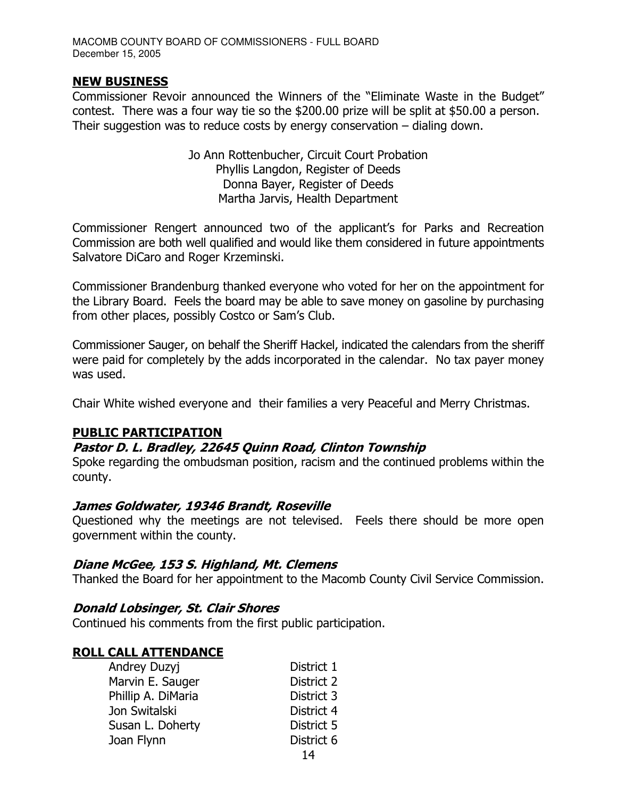#### **NEW BUSINESS**

Commissioner Revoir announced the Winners of the "Eliminate Waste in the Budget" contest. There was a four way tie so the \$200.00 prize will be split at \$50.00 a person. Their suggestion was to reduce costs by energy conservation  $-$  dialing down.

> Jo Ann Rottenbucher, Circuit Court Probation Phyllis Langdon, Register of Deeds Donna Bayer, Register of Deeds Martha Jarvis, Health Department

Commissioner Rengert announced two of the applicant's for Parks and Recreation Commission are both well qualified and would like them considered in future appointments Salvatore DiCaro and Roger Krzeminski.

Commissioner Brandenburg thanked everyone who voted for her on the appointment for the Library Board. Feels the board may be able to save money on gasoline by purchasing from other places, possibly Costco or Sam's Club.

Commissioner Sauger, on behalf the Sheriff Hackel, indicated the calendars from the sheriff were paid for completely by the adds incorporated in the calendar. No tax payer money was used.

Chair White wished everyone and their families a very Peaceful and Merry Christmas.

#### **PUBLIC PARTICIPATION**

#### Pastor D. L. Bradley, 22645 Quinn Road, Clinton Township

Spoke regarding the ombudsman position, racism and the continued problems within the county.

#### James Goldwater, 19346 Brandt, Roseville

Questioned why the meetings are not televised. Feels there should be more open government within the county.

#### Diane McGee, 153 S. Highland, Mt. Clemens

Thanked the Board for her appointment to the Macomb County Civil Service Commission.

#### **Donald Lobsinger, St. Clair Shores**

Continued his comments from the first public participation.

## **ROLL CALL ATTENDANCE**

| Andrey Duzyj       | District 1 |
|--------------------|------------|
| Marvin E. Sauger   | District 2 |
| Phillip A. DiMaria | District 3 |
| Jon Switalski      | District 4 |
| Susan L. Doherty   | District 5 |
| Joan Flynn         | District 6 |
|                    | - -        |